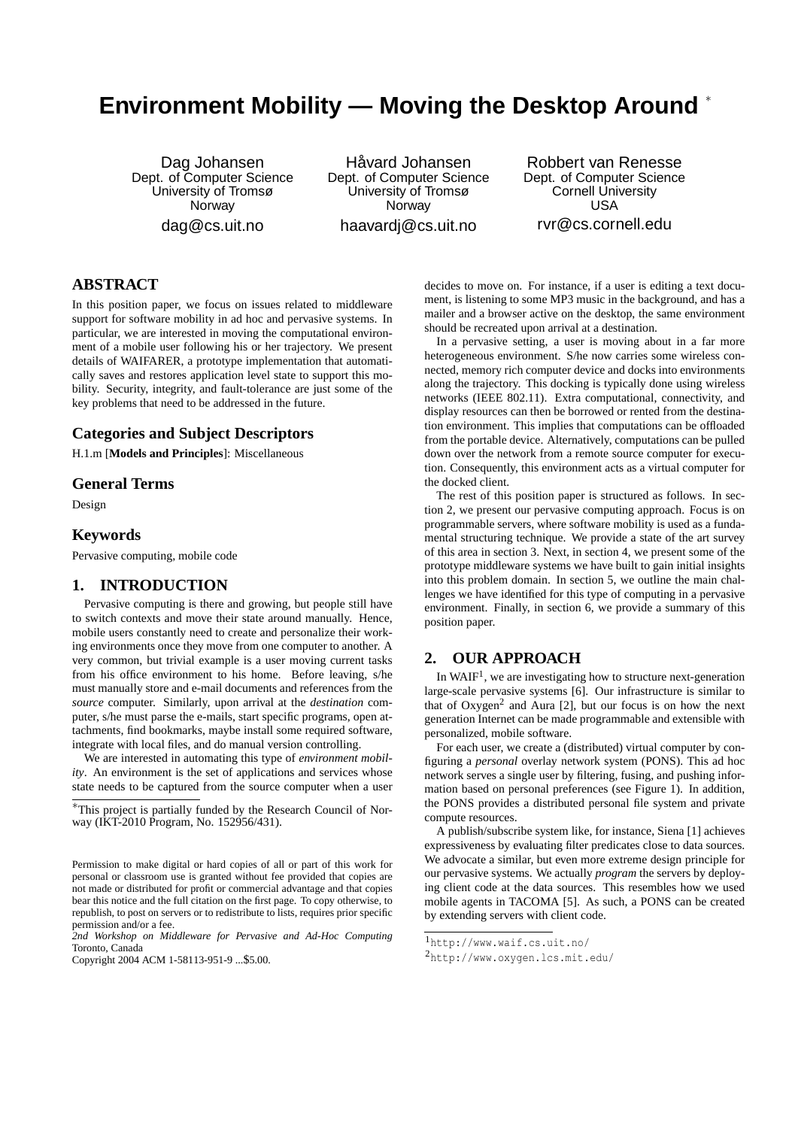# **Environment Mobility — Moving the Desktop Around** <sup>∗</sup>

Dag Johansen Dept. of Computer Science University of Tromsø Norway dag@cs.uit.no

Håvard Johansen Dept. of Computer Science University of Tromsø Norway haavardj@cs.uit.no

Robbert van Renesse Dept. of Computer Science Cornell University USA rvr@cs.cornell.edu

# **ABSTRACT**

In this position paper, we focus on issues related to middleware support for software mobility in ad hoc and pervasive systems. In particular, we are interested in moving the computational environment of a mobile user following his or her trajectory. We present details of WAIFARER, a prototype implementation that automatically saves and restores application level state to support this mobility. Security, integrity, and fault-tolerance are just some of the key problems that need to be addressed in the future.

# **Categories and Subject Descriptors**

H.1.m [**Models and Principles**]: Miscellaneous

#### **General Terms**

Design

### **Keywords**

Pervasive computing, mobile code

## **1. INTRODUCTION**

Pervasive computing is there and growing, but people still have to switch contexts and move their state around manually. Hence, mobile users constantly need to create and personalize their working environments once they move from one computer to another. A very common, but trivial example is a user moving current tasks from his office environment to his home. Before leaving, s/he must manually store and e-mail documents and references from the *source* computer. Similarly, upon arrival at the *destination* computer, s/he must parse the e-mails, start specific programs, open attachments, find bookmarks, maybe install some required software, integrate with local files, and do manual version controlling.

We are interested in automating this type of *environment mobility*. An environment is the set of applications and services whose state needs to be captured from the source computer when a user

decides to move on. For instance, if a user is editing a text document, is listening to some MP3 music in the background, and has a mailer and a browser active on the desktop, the same environment should be recreated upon arrival at a destination.

In a pervasive setting, a user is moving about in a far more heterogeneous environment. S/he now carries some wireless connected, memory rich computer device and docks into environments along the trajectory. This docking is typically done using wireless networks (IEEE 802.11). Extra computational, connectivity, and display resources can then be borrowed or rented from the destination environment. This implies that computations can be offloaded from the portable device. Alternatively, computations can be pulled down over the network from a remote source computer for execution. Consequently, this environment acts as a virtual computer for the docked client.

The rest of this position paper is structured as follows. In section 2, we present our pervasive computing approach. Focus is on programmable servers, where software mobility is used as a fundamental structuring technique. We provide a state of the art survey of this area in section 3. Next, in section 4, we present some of the prototype middleware systems we have built to gain initial insights into this problem domain. In section 5, we outline the main challenges we have identified for this type of computing in a pervasive environment. Finally, in section 6, we provide a summary of this position paper.

## **2. OUR APPROACH**

In  $WAIF<sup>1</sup>$ , we are investigating how to structure next-generation large-scale pervasive systems [6]. Our infrastructure is similar to that of Oxygen<sup>2</sup> and Aura [2], but our focus is on how the next generation Internet can be made programmable and extensible with personalized, mobile software.

For each user, we create a (distributed) virtual computer by configuring a *personal* overlay network system (PONS). This ad hoc network serves a single user by filtering, fusing, and pushing information based on personal preferences (see Figure 1). In addition, the PONS provides a distributed personal file system and private compute resources.

A publish/subscribe system like, for instance, Siena [1] achieves expressiveness by evaluating filter predicates close to data sources. We advocate a similar, but even more extreme design principle for our pervasive systems. We actually *program* the servers by deploying client code at the data sources. This resembles how we used mobile agents in TACOMA [5]. As such, a PONS can be created by extending servers with client code.

<sup>∗</sup>This project is partially funded by the Research Council of Norway (IKT-2010 Program, No. 152956/431).

Permission to make digital or hard copies of all or part of this work for personal or classroom use is granted without fee provided that copies are not made or distributed for profit or commercial advantage and that copies bear this notice and the full citation on the first page. To copy otherwise, to republish, to post on servers or to redistribute to lists, requires prior specific permission and/or a fee.

*<sup>2</sup>nd Workshop on Middleware for Pervasive and Ad-Hoc Computing* Toronto, Canada

Copyright 2004 ACM 1-58113-951-9 ...\$5.00.

<sup>1</sup>http://www.waif.cs.uit.no/

<sup>2</sup>http://www.oxygen.lcs.mit.edu/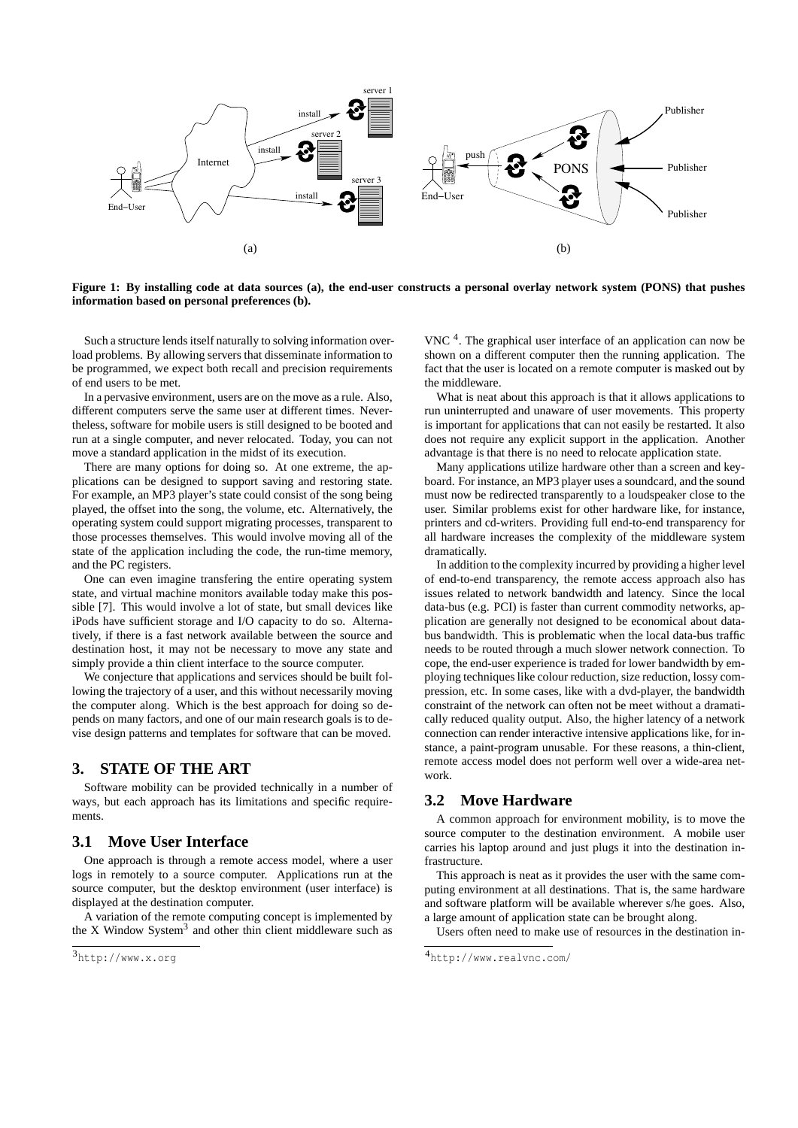

**Figure 1: By installing code at data sources (a), the end-user constructs a personal overlay network system (PONS) that pushes information based on personal preferences (b).**

Such a structure lends itself naturally to solving information overload problems. By allowing servers that disseminate information to be programmed, we expect both recall and precision requirements of end users to be met.

In a pervasive environment, users are on the move as a rule. Also, different computers serve the same user at different times. Nevertheless, software for mobile users is still designed to be booted and run at a single computer, and never relocated. Today, you can not move a standard application in the midst of its execution.

There are many options for doing so. At one extreme, the applications can be designed to support saving and restoring state. For example, an MP3 player's state could consist of the song being played, the offset into the song, the volume, etc. Alternatively, the operating system could support migrating processes, transparent to those processes themselves. This would involve moving all of the state of the application including the code, the run-time memory, and the PC registers.

One can even imagine transfering the entire operating system state, and virtual machine monitors available today make this possible [7]. This would involve a lot of state, but small devices like iPods have sufficient storage and I/O capacity to do so. Alternatively, if there is a fast network available between the source and destination host, it may not be necessary to move any state and simply provide a thin client interface to the source computer.

We conjecture that applications and services should be built following the trajectory of a user, and this without necessarily moving the computer along. Which is the best approach for doing so depends on many factors, and one of our main research goals is to devise design patterns and templates for software that can be moved.

## **3. STATE OF THE ART**

Software mobility can be provided technically in a number of ways, but each approach has its limitations and specific requirements.

## **3.1 Move User Interface**

One approach is through a remote access model, where a user logs in remotely to a source computer. Applications run at the source computer, but the desktop environment (user interface) is displayed at the destination computer.

A variation of the remote computing concept is implemented by the X Window System<sup>3</sup> and other thin client middleware such as

VNC<sup>4</sup>. The graphical user interface of an application can now be shown on a different computer then the running application. The fact that the user is located on a remote computer is masked out by the middleware.

What is neat about this approach is that it allows applications to run uninterrupted and unaware of user movements. This property is important for applications that can not easily be restarted. It also does not require any explicit support in the application. Another advantage is that there is no need to relocate application state.

Many applications utilize hardware other than a screen and keyboard. For instance, an MP3 player uses a soundcard, and the sound must now be redirected transparently to a loudspeaker close to the user. Similar problems exist for other hardware like, for instance, printers and cd-writers. Providing full end-to-end transparency for all hardware increases the complexity of the middleware system dramatically.

In addition to the complexity incurred by providing a higher level of end-to-end transparency, the remote access approach also has issues related to network bandwidth and latency. Since the local data-bus (e.g. PCI) is faster than current commodity networks, application are generally not designed to be economical about databus bandwidth. This is problematic when the local data-bus traffic needs to be routed through a much slower network connection. To cope, the end-user experience is traded for lower bandwidth by employing techniques like colour reduction, size reduction, lossy compression, etc. In some cases, like with a dvd-player, the bandwidth constraint of the network can often not be meet without a dramatically reduced quality output. Also, the higher latency of a network connection can render interactive intensive applications like, for instance, a paint-program unusable. For these reasons, a thin-client, remote access model does not perform well over a wide-area network.

#### **3.2 Move Hardware**

A common approach for environment mobility, is to move the source computer to the destination environment. A mobile user carries his laptop around and just plugs it into the destination infrastructure.

This approach is neat as it provides the user with the same computing environment at all destinations. That is, the same hardware and software platform will be available wherever s/he goes. Also, a large amount of application state can be brought along.

Users often need to make use of resources in the destination in-

<sup>3</sup>http://www.x.org

<sup>4</sup>http://www.realvnc.com/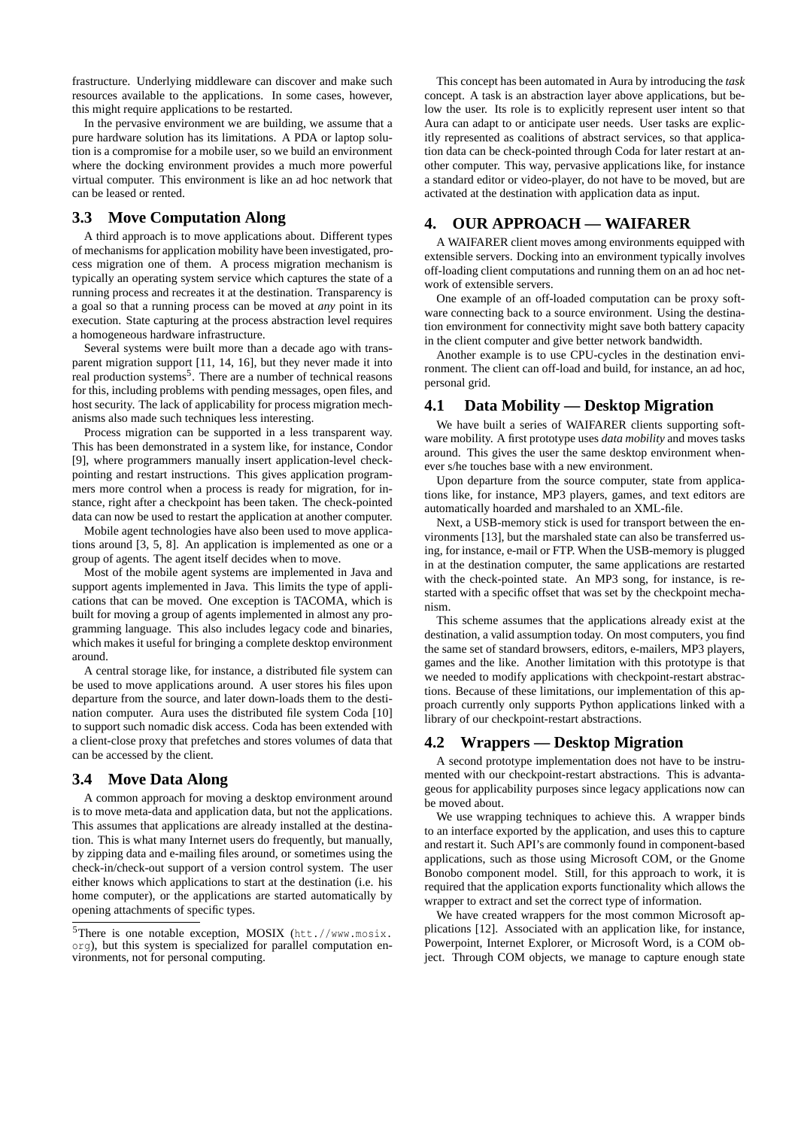frastructure. Underlying middleware can discover and make such resources available to the applications. In some cases, however, this might require applications to be restarted.

In the pervasive environment we are building, we assume that a pure hardware solution has its limitations. A PDA or laptop solution is a compromise for a mobile user, so we build an environment where the docking environment provides a much more powerful virtual computer. This environment is like an ad hoc network that can be leased or rented.

### **3.3 Move Computation Along**

A third approach is to move applications about. Different types of mechanisms for application mobility have been investigated, process migration one of them. A process migration mechanism is typically an operating system service which captures the state of a running process and recreates it at the destination. Transparency is a goal so that a running process can be moved at *any* point in its execution. State capturing at the process abstraction level requires a homogeneous hardware infrastructure.

Several systems were built more than a decade ago with transparent migration support [11, 14, 16], but they never made it into real production systems<sup>5</sup>. There are a number of technical reasons for this, including problems with pending messages, open files, and host security. The lack of applicability for process migration mechanisms also made such techniques less interesting.

Process migration can be supported in a less transparent way. This has been demonstrated in a system like, for instance, Condor [9], where programmers manually insert application-level checkpointing and restart instructions. This gives application programmers more control when a process is ready for migration, for instance, right after a checkpoint has been taken. The check-pointed data can now be used to restart the application at another computer.

Mobile agent technologies have also been used to move applications around [3, 5, 8]. An application is implemented as one or a group of agents. The agent itself decides when to move.

Most of the mobile agent systems are implemented in Java and support agents implemented in Java. This limits the type of applications that can be moved. One exception is TACOMA, which is built for moving a group of agents implemented in almost any programming language. This also includes legacy code and binaries, which makes it useful for bringing a complete desktop environment around.

A central storage like, for instance, a distributed file system can be used to move applications around. A user stores his files upon departure from the source, and later down-loads them to the destination computer. Aura uses the distributed file system Coda [10] to support such nomadic disk access. Coda has been extended with a client-close proxy that prefetches and stores volumes of data that can be accessed by the client.

### **3.4 Move Data Along**

A common approach for moving a desktop environment around is to move meta-data and application data, but not the applications. This assumes that applications are already installed at the destination. This is what many Internet users do frequently, but manually, by zipping data and e-mailing files around, or sometimes using the check-in/check-out support of a version control system. The user either knows which applications to start at the destination (i.e. his home computer), or the applications are started automatically by opening attachments of specific types.

This concept has been automated in Aura by introducing the *task* concept. A task is an abstraction layer above applications, but below the user. Its role is to explicitly represent user intent so that Aura can adapt to or anticipate user needs. User tasks are explicitly represented as coalitions of abstract services, so that application data can be check-pointed through Coda for later restart at another computer. This way, pervasive applications like, for instance a standard editor or video-player, do not have to be moved, but are activated at the destination with application data as input.

## **4. OUR APPROACH — WAIFARER**

A WAIFARER client moves among environments equipped with extensible servers. Docking into an environment typically involves off-loading client computations and running them on an ad hoc network of extensible servers.

One example of an off-loaded computation can be proxy software connecting back to a source environment. Using the destination environment for connectivity might save both battery capacity in the client computer and give better network bandwidth.

Another example is to use CPU-cycles in the destination environment. The client can off-load and build, for instance, an ad hoc, personal grid.

#### **4.1 Data Mobility — Desktop Migration**

We have built a series of WAIFARER clients supporting software mobility. A first prototype uses *data mobility* and moves tasks around. This gives the user the same desktop environment whenever s/he touches base with a new environment.

Upon departure from the source computer, state from applications like, for instance, MP3 players, games, and text editors are automatically hoarded and marshaled to an XML-file.

Next, a USB-memory stick is used for transport between the environments [13], but the marshaled state can also be transferred using, for instance, e-mail or FTP. When the USB-memory is plugged in at the destination computer, the same applications are restarted with the check-pointed state. An MP3 song, for instance, is restarted with a specific offset that was set by the checkpoint mechanism.

This scheme assumes that the applications already exist at the destination, a valid assumption today. On most computers, you find the same set of standard browsers, editors, e-mailers, MP3 players, games and the like. Another limitation with this prototype is that we needed to modify applications with checkpoint-restart abstractions. Because of these limitations, our implementation of this approach currently only supports Python applications linked with a library of our checkpoint-restart abstractions.

# **4.2 Wrappers — Desktop Migration**

A second prototype implementation does not have to be instrumented with our checkpoint-restart abstractions. This is advantageous for applicability purposes since legacy applications now can be moved about.

We use wrapping techniques to achieve this. A wrapper binds to an interface exported by the application, and uses this to capture and restart it. Such API's are commonly found in component-based applications, such as those using Microsoft COM, or the Gnome Bonobo component model. Still, for this approach to work, it is required that the application exports functionality which allows the wrapper to extract and set the correct type of information.

We have created wrappers for the most common Microsoft applications [12]. Associated with an application like, for instance, Powerpoint, Internet Explorer, or Microsoft Word, is a COM object. Through COM objects, we manage to capture enough state

<sup>5</sup>There is one notable exception, MOSIX (htt.//www.mosix. org), but this system is specialized for parallel computation environments, not for personal computing.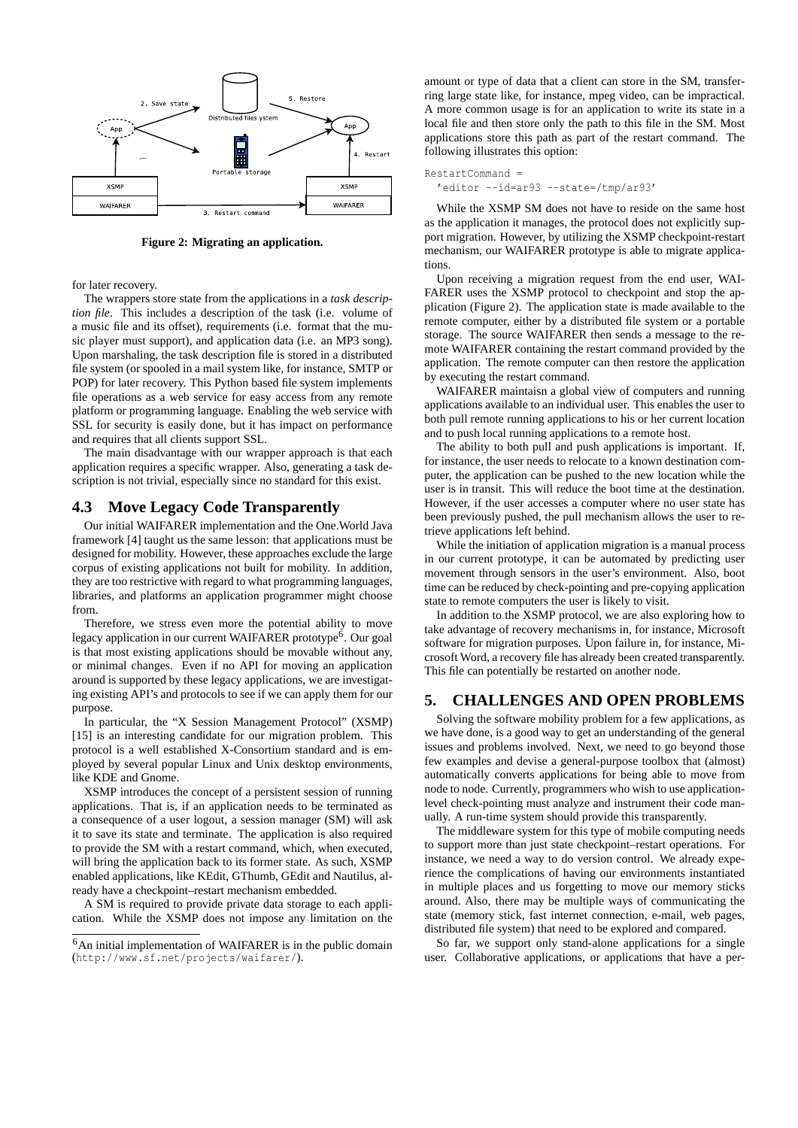

**Figure 2: Migrating an application.**

for later recovery.

The wrappers store state from the applications in a *task description file*. This includes a description of the task (i.e. volume of a music file and its offset), requirements (i.e. format that the music player must support), and application data (i.e. an MP3 song). Upon marshaling, the task description file is stored in a distributed file system (or spooled in a mail system like, for instance, SMTP or POP) for later recovery. This Python based file system implements file operations as a web service for easy access from any remote platform or programming language. Enabling the web service with SSL for security is easily done, but it has impact on performance and requires that all clients support SSL.

The main disadvantage with our wrapper approach is that each application requires a specific wrapper. Also, generating a task description is not trivial, especially since no standard for this exist.

### **4.3 Move Legacy Code Transparently**

Our initial WAIFARER implementation and the One.World Java framework [4] taught us the same lesson: that applications must be designed for mobility. However, these approaches exclude the large corpus of existing applications not built for mobility. In addition, they are too restrictive with regard to what programming languages, libraries, and platforms an application programmer might choose from.

Therefore, we stress even more the potential ability to move legacy application in our current WAIFARER prototype<sup>6</sup>. Our goal is that most existing applications should be movable without any, or minimal changes. Even if no API for moving an application around is supported by these legacy applications, we are investigating existing API's and protocols to see if we can apply them for our purpose.

In particular, the "X Session Management Protocol" (XSMP) [15] is an interesting candidate for our migration problem. This protocol is a well established X-Consortium standard and is employed by several popular Linux and Unix desktop environments, like KDE and Gnome.

XSMP introduces the concept of a persistent session of running applications. That is, if an application needs to be terminated as a consequence of a user logout, a session manager (SM) will ask it to save its state and terminate. The application is also required to provide the SM with a restart command, which, when executed, will bring the application back to its former state. As such, XSMP enabled applications, like KEdit, GThumb, GEdit and Nautilus, already have a checkpoint–restart mechanism embedded.

A SM is required to provide private data storage to each application. While the XSMP does not impose any limitation on the

amount or type of data that a client can store in the SM, transferring large state like, for instance, mpeg video, can be impractical. A more common usage is for an application to write its state in a local file and then store only the path to this file in the SM. Most applications store this path as part of the restart command. The following illustrates this option:

```
RestartCommand =
```
'editor --id=ar93 --state=/tmp/ar93'

While the XSMP SM does not have to reside on the same host as the application it manages, the protocol does not explicitly support migration. However, by utilizing the XSMP checkpoint-restart mechanism, our WAIFARER prototype is able to migrate applications.

Upon receiving a migration request from the end user, WAI-FARER uses the XSMP protocol to checkpoint and stop the application (Figure 2). The application state is made available to the remote computer, either by a distributed file system or a portable storage. The source WAIFARER then sends a message to the remote WAIFARER containing the restart command provided by the application. The remote computer can then restore the application by executing the restart command.

WAIFARER maintaisn a global view of computers and running applications available to an individual user. This enables the user to both pull remote running applications to his or her current location and to push local running applications to a remote host.

The ability to both pull and push applications is important. If, for instance, the user needs to relocate to a known destination computer, the application can be pushed to the new location while the user is in transit. This will reduce the boot time at the destination. However, if the user accesses a computer where no user state has been previously pushed, the pull mechanism allows the user to retrieve applications left behind.

While the initiation of application migration is a manual process in our current prototype, it can be automated by predicting user movement through sensors in the user's environment. Also, boot time can be reduced by check-pointing and pre-copying application state to remote computers the user is likely to visit.

In addition to the XSMP protocol, we are also exploring how to take advantage of recovery mechanisms in, for instance, Microsoft software for migration purposes. Upon failure in, for instance, Microsoft Word, a recovery file has already been created transparently. This file can potentially be restarted on another node.

## **5. CHALLENGES AND OPEN PROBLEMS**

Solving the software mobility problem for a few applications, as we have done, is a good way to get an understanding of the general issues and problems involved. Next, we need to go beyond those few examples and devise a general-purpose toolbox that (almost) automatically converts applications for being able to move from node to node. Currently, programmers who wish to use applicationlevel check-pointing must analyze and instrument their code manually. A run-time system should provide this transparently.

The middleware system for this type of mobile computing needs to support more than just state checkpoint–restart operations. For instance, we need a way to do version control. We already experience the complications of having our environments instantiated in multiple places and us forgetting to move our memory sticks around. Also, there may be multiple ways of communicating the state (memory stick, fast internet connection, e-mail, web pages, distributed file system) that need to be explored and compared.

So far, we support only stand-alone applications for a single user. Collaborative applications, or applications that have a per-

 $6$ An initial implementation of WAIFARER is in the public domain (http://www.sf.net/projects/waifarer/).